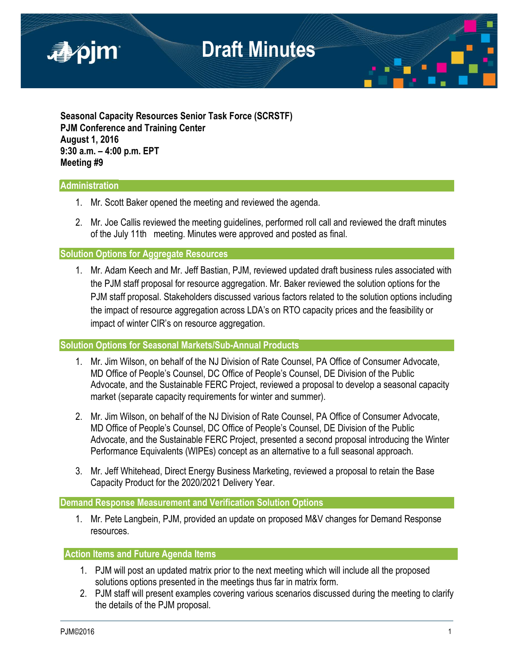

**Seasonal Capacity Resources Senior Task Force (SCRSTF) PJM Conference and Training Center August 1, 2016 9:30 a.m. – 4:00 p.m. EPT Meeting #9**

### **Administration**

- 1. Mr. Scott Baker opened the meeting and reviewed the agenda.
- 2. Mr. Joe Callis reviewed the meeting guidelines, performed roll call and reviewed the draft minutes of the July 11th meeting. Minutes were approved and posted as final.

**Solution Options for Aggregate Resources** 

1. Mr. Adam Keech and Mr. Jeff Bastian, PJM, reviewed updated draft business rules associated with the PJM staff proposal for resource aggregation. Mr. Baker reviewed the solution options for the PJM staff proposal. Stakeholders discussed various factors related to the solution options including the impact of resource aggregation across LDA's on RTO capacity prices and the feasibility or impact of winter CIR's on resource aggregation.

### **Solution Options for Seasonal Markets/Sub-Annual Products**

- 1. Mr. Jim Wilson, on behalf of the NJ Division of Rate Counsel, PA Office of Consumer Advocate, MD Office of People's Counsel, DC Office of People's Counsel, DE Division of the Public Advocate, and the Sustainable FERC Project, reviewed a proposal to develop a seasonal capacity market (separate capacity requirements for winter and summer).
- 2. Mr. Jim Wilson, on behalf of the NJ Division of Rate Counsel, PA Office of Consumer Advocate, MD Office of People's Counsel, DC Office of People's Counsel, DE Division of the Public Advocate, and the Sustainable FERC Project, presented a second proposal introducing the Winter Performance Equivalents (WIPEs) concept as an alternative to a full seasonal approach.
- 3. Mr. Jeff Whitehead, Direct Energy Business Marketing, reviewed a proposal to retain the Base Capacity Product for the 2020/2021 Delivery Year.

### **Demand Response Measurement and Verification Solution Options**

1. Mr. Pete Langbein, PJM, provided an update on proposed M&V changes for Demand Response resources.

### **Action Items and Future Agenda Items**

- 1. PJM will post an updated matrix prior to the next meeting which will include all the proposed solutions options presented in the meetings thus far in matrix form.
- 2. PJM staff will present examples covering various scenarios discussed during the meeting to clarify the details of the PJM proposal.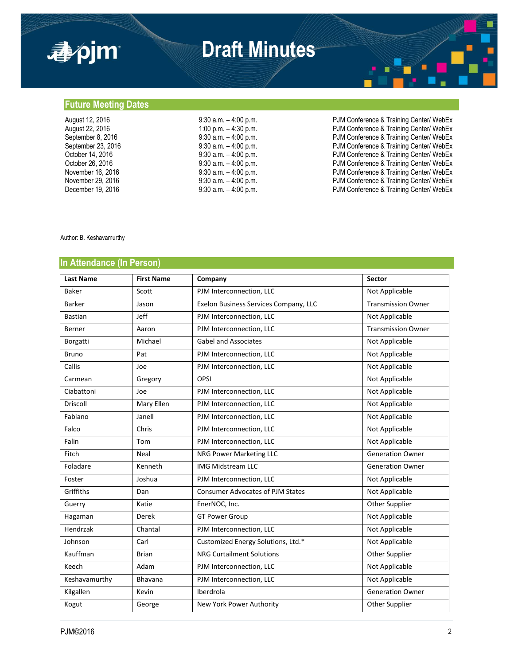

## **Future Meeting Dates**

| August 12, 2016    | $9:30$ a.m. $-4:00$ p.m. | PJM Conference & Training Center/ WebEx |
|--------------------|--------------------------|-----------------------------------------|
| August 22, 2016    | 1:00 p.m. $-$ 4:30 p.m.  | PJM Conference & Training Center/ WebEx |
| September 8, 2016  | $9:30$ a.m. $-4:00$ p.m. | PJM Conference & Training Center/ WebEx |
| September 23, 2016 | $9:30$ a.m. $-4:00$ p.m. | PJM Conference & Training Center/ WebEx |
| October 14, 2016   | $9:30$ a.m. $-4:00$ p.m. | PJM Conference & Training Center/ WebEx |
| October 26, 2016   | $9:30$ a.m. $-4:00$ p.m. | PJM Conference & Training Center/ WebEx |
| November 16, 2016  | $9:30$ a.m. $-4:00$ p.m. | PJM Conference & Training Center/ WebEx |
| November 29, 2016  | $9:30$ a.m. $-4:00$ p.m. | PJM Conference & Training Center/ WebEx |
| December 19, 2016  | $9:30$ a.m. $-4:00$ p.m. | PJM Conference & Training Center/ WebEx |

#### Author: B. Keshavamurthy

## **In Attendance (In Person)**

| <b>Last Name</b> | <b>First Name</b> | Company                                 | Sector                    |
|------------------|-------------------|-----------------------------------------|---------------------------|
| Baker            | Scott             | PJM Interconnection, LLC                | Not Applicable            |
| <b>Barker</b>    | Jason             | Exelon Business Services Company, LLC   | <b>Transmission Owner</b> |
| <b>Bastian</b>   | Jeff              | PJM Interconnection, LLC                | Not Applicable            |
| Berner           | Aaron             | PJM Interconnection, LLC                | <b>Transmission Owner</b> |
| Borgatti         | Michael           | <b>Gabel and Associates</b>             | Not Applicable            |
| <b>Bruno</b>     | Pat               | PJM Interconnection, LLC                | Not Applicable            |
| Callis           | Joe               | PJM Interconnection, LLC                | Not Applicable            |
| Carmean          | Gregory           | OPSI                                    | Not Applicable            |
| Ciabattoni       | Joe               | PJM Interconnection, LLC                | Not Applicable            |
| Driscoll         | Mary Ellen        | PJM Interconnection, LLC                | Not Applicable            |
| Fabiano          | Janell            | PJM Interconnection, LLC                | Not Applicable            |
| Falco            | Chris             | PJM Interconnection, LLC                | Not Applicable            |
| Falin            | Tom               | PJM Interconnection, LLC                | Not Applicable            |
| Fitch            | Neal              | NRG Power Marketing LLC                 | <b>Generation Owner</b>   |
| Foladare         | Kenneth           | <b>IMG Midstream LLC</b>                | <b>Generation Owner</b>   |
| Foster           | Joshua            | PJM Interconnection, LLC                | Not Applicable            |
| Griffiths        | Dan               | <b>Consumer Advocates of PJM States</b> | Not Applicable            |
| Guerry           | Katie             | EnerNOC, Inc.                           | Other Supplier            |
| Hagaman          | <b>Derek</b>      | <b>GT Power Group</b>                   | Not Applicable            |
| Hendrzak         | Chantal           | PJM Interconnection, LLC                | Not Applicable            |
| Johnson          | Carl              | Customized Energy Solutions, Ltd.*      | Not Applicable            |
| Kauffman         | <b>Brian</b>      | <b>NRG Curtailment Solutions</b>        | Other Supplier            |
| Keech            | Adam              | PJM Interconnection, LLC                | Not Applicable            |
| Keshavamurthy    | <b>Bhavana</b>    | PJM Interconnection, LLC                | Not Applicable            |
| Kilgallen        | Kevin             | Iberdrola                               | <b>Generation Owner</b>   |
| Kogut            | George            | New York Power Authority                | Other Supplier            |

 $\blacksquare$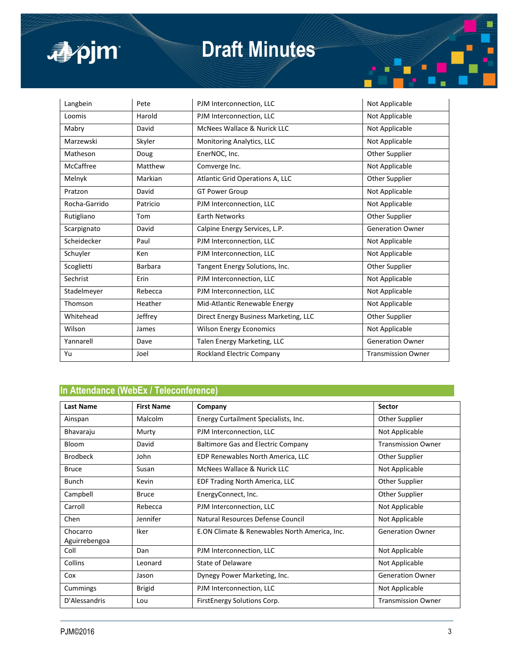

| Langbein      | Pete           | PJM Interconnection, LLC              | Not Applicable            |
|---------------|----------------|---------------------------------------|---------------------------|
| Loomis        | Harold         | PJM Interconnection, LLC              | Not Applicable            |
| Mabry         | David          | McNees Wallace & Nurick LLC           | Not Applicable            |
| Marzewski     | Skyler         | Monitoring Analytics, LLC             | Not Applicable            |
| Matheson      | Doug           | EnerNOC, Inc.                         | Other Supplier            |
| McCaffree     | Matthew        | Comverge Inc.                         | Not Applicable            |
| Melnyk        | Markian        | Atlantic Grid Operations A, LLC       | Other Supplier            |
| Pratzon       | David          | <b>GT Power Group</b>                 | Not Applicable            |
| Rocha-Garrido | Patricio       | PJM Interconnection, LLC              | Not Applicable            |
| Rutigliano    | Tom            | Earth Networks                        | Other Supplier            |
| Scarpignato   | David          | Calpine Energy Services, L.P.         | <b>Generation Owner</b>   |
| Scheidecker   | Paul           | PJM Interconnection, LLC              | Not Applicable            |
| Schuyler      | Ken            | PJM Interconnection, LLC              | Not Applicable            |
| Scoglietti    | <b>Barbara</b> | Tangent Energy Solutions, Inc.        | Other Supplier            |
| Sechrist      | Erin           | PJM Interconnection, LLC              | Not Applicable            |
| Stadelmeyer   | Rebecca        | PJM Interconnection, LLC              | Not Applicable            |
| Thomson       | Heather        | Mid-Atlantic Renewable Energy         | Not Applicable            |
| Whitehead     | Jeffrey        | Direct Energy Business Marketing, LLC | Other Supplier            |
| Wilson        | James          | <b>Wilson Energy Economics</b>        | Not Applicable            |
| Yannarell     | Dave           | Talen Energy Marketing, LLC           | <b>Generation Owner</b>   |
| Yu            | Joel           | Rockland Electric Company             | <b>Transmission Owner</b> |

## **In Attendance (WebEx / Teleconference)**

| <b>Last Name</b> | <b>First Name</b> | Company                                       | <b>Sector</b>             |
|------------------|-------------------|-----------------------------------------------|---------------------------|
|                  |                   |                                               |                           |
| Ainspan          | Malcolm           | Energy Curtailment Specialists, Inc.          | Other Supplier            |
| Bhavaraju        | Murty             | PJM Interconnection, LLC                      | Not Applicable            |
| Bloom            | David             | <b>Baltimore Gas and Electric Company</b>     | <b>Transmission Owner</b> |
| <b>Brodbeck</b>  | John              | EDP Renewables North America, LLC             | Other Supplier            |
| <b>Bruce</b>     | Susan             | McNees Wallace & Nurick LLC                   | Not Applicable            |
| <b>Bunch</b>     | Kevin             | EDF Trading North America, LLC                | Other Supplier            |
| Campbell         | <b>Bruce</b>      | EnergyConnect, Inc.                           | Other Supplier            |
| Carroll          | Rebecca           | PJM Interconnection, LLC                      | Not Applicable            |
| Chen             | Jennifer          | Natural Resources Defense Council             | Not Applicable            |
| Chocarro         | Iker              | E.ON Climate & Renewables North America, Inc. | <b>Generation Owner</b>   |
| Aguirrebengoa    |                   |                                               |                           |
| Coll             | Dan               | PJM Interconnection, LLC                      | Not Applicable            |
| Collins          | Leonard           | <b>State of Delaware</b>                      | Not Applicable            |
| Cox              | Jason             | Dynegy Power Marketing, Inc.                  | <b>Generation Owner</b>   |
| Cummings         | <b>Brigid</b>     | PJM Interconnection, LLC                      | Not Applicable            |
| D'Alessandris    | Lou               | FirstEnergy Solutions Corp.                   | <b>Transmission Owner</b> |

۰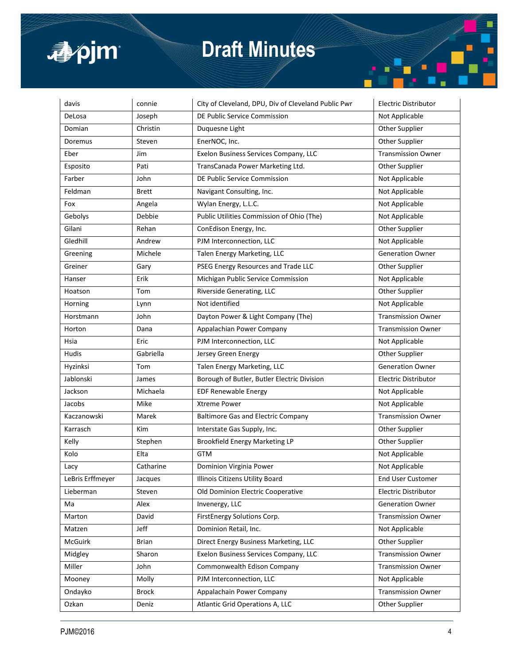

| davis            | connie       | City of Cleveland, DPU, Div of Cleveland Public Pwr | Electric Distributor        |
|------------------|--------------|-----------------------------------------------------|-----------------------------|
| DeLosa           | Joseph       | DE Public Service Commission                        | Not Applicable              |
| Domian           | Christin     | Duquesne Light                                      | Other Supplier              |
| Doremus          | Steven       | EnerNOC, Inc.                                       | Other Supplier              |
| Eber             | Jim          | Exelon Business Services Company, LLC               | <b>Transmission Owner</b>   |
| Esposito         | Pati         | TransCanada Power Marketing Ltd.                    | Other Supplier              |
| Farber           | John         | DE Public Service Commission                        | Not Applicable              |
| Feldman          | <b>Brett</b> | Navigant Consulting, Inc.                           | Not Applicable              |
| Fox              | Angela       | Wylan Energy, L.L.C.                                | Not Applicable              |
| Gebolys          | Debbie       | Public Utilities Commission of Ohio (The)           | Not Applicable              |
| Gilani           | Rehan        | ConEdison Energy, Inc.                              | Other Supplier              |
| Gledhill         | Andrew       | PJM Interconnection, LLC                            | Not Applicable              |
| Greening         | Michele      | Talen Energy Marketing, LLC                         | <b>Generation Owner</b>     |
| Greiner          | Gary         | PSEG Energy Resources and Trade LLC                 | <b>Other Supplier</b>       |
| Hanser           | Erik         | Michigan Public Service Commission                  | Not Applicable              |
| Hoatson          | Tom          | Riverside Generating, LLC                           | Other Supplier              |
| Horning          | Lynn         | Not identified                                      | Not Applicable              |
| Horstmann        | John         | Dayton Power & Light Company (The)                  | <b>Transmission Owner</b>   |
| Horton           | Dana         | Appalachian Power Company                           | <b>Transmission Owner</b>   |
| Hsia             | Eric         | PJM Interconnection, LLC                            | Not Applicable              |
| Hudis            | Gabriella    | Jersey Green Energy                                 | Other Supplier              |
| Hyzinksi         | Tom          | Talen Energy Marketing, LLC                         | <b>Generation Owner</b>     |
| Jablonski        | James        | Borough of Butler, Butler Electric Division         | <b>Electric Distributor</b> |
| Jackson          | Michaela     | <b>EDF Renewable Energy</b>                         | Not Applicable              |
| Jacobs           | Mike         | <b>Xtreme Power</b>                                 | Not Applicable              |
| Kaczanowski      | Marek        | <b>Baltimore Gas and Electric Company</b>           | <b>Transmission Owner</b>   |
| Karrasch         | Kim          | Interstate Gas Supply, Inc.                         | Other Supplier              |
| Kelly            | Stephen      | <b>Brookfield Energy Marketing LP</b>               | Other Supplier              |
| Kolo             | Elta         | <b>GTM</b>                                          | Not Applicable              |
| Lacy             | Catharine    | Dominion Virginia Power                             | Not Applicable              |
| LeBris Erffmeyer | Jacques      | Illinois Citizens Utility Board                     | End User Customer           |
| Lieberman        | Steven       | Old Dominion Electric Cooperative                   | Electric Distributor        |
| Ma               | Alex         | Invenergy, LLC                                      | <b>Generation Owner</b>     |
| Marton           | David        | FirstEnergy Solutions Corp.                         | <b>Transmission Owner</b>   |
| Matzen           | Jeff         | Dominion Retail, Inc.                               | Not Applicable              |
| McGuirk          | <b>Brian</b> | Direct Energy Business Marketing, LLC               | Other Supplier              |
| Midgley          | Sharon       | Exelon Business Services Company, LLC               | <b>Transmission Owner</b>   |
| Miller           | John         | Commonwealth Edison Company                         | <b>Transmission Owner</b>   |
| Mooney           | Molly        | PJM Interconnection, LLC                            | Not Applicable              |
| Ondayko          | <b>Brock</b> | Appalachain Power Company                           | <b>Transmission Owner</b>   |
| Ozkan            | Deniz        | Atlantic Grid Operations A, LLC                     | Other Supplier              |

É

۰